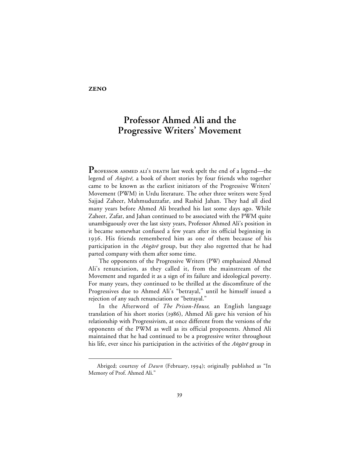## **ZENO**

 $\overline{a}$ 

## **Professor Ahmed Ali and the Progressive Writers' Movement**

**P** ROFESSOR AHMED ALI'S DEATH last week spelt the end of a legend—the legend of Angārē, a book of short stories by four friends who together came to be known as the earliest initiators of the Progressive Writers' Movement (PWM) in Urdu literature. The other three writers were Syed Sajjad Zaheer, Mahmuduzzafar, and Rashid Jahan. They had all died many years before Ahmed Ali breathed his last some days ago. While Zaheer, Zafar, and Jahan continued to be associated with the PWM quite unambiguously over the last sixty years, Professor Ahmed Ali's position in it became somewhat confused a few years after its official beginning in . His friends remembered him as one of them because of his participation in the Angare group, but they also regretted that he had parted company with them after some time.

The opponents of the Progressive Writers (PW) emphasized Ahmed Ali's renunciation, as they called it, from the mainstream of the Movement and regarded it as a sign of its failure and ideological poverty. For many years, they continued to be thrilled at the discomfiture of the Progressives due to Ahmed Ali's "betrayal," until he himself issued a rejection of any such renunciation or "betrayal."

In the Afterword of *The Prison-House*, an English language translation of his short stories (1986), Ahmed Ali gave his version of his relationship with Progressivism, at once different from the versions of the opponents of the PWM as well as its official proponents. Ahmed Ali maintained that he had continued to be a progressive writer throughout his life, ever since his participation in the activities of the Ang $\bar{a}r\bar{e}$  group in

Abriged; courtesy of *Dawn* (February, 1994); originally published as "In Memory of Prof. Ahmed Ali."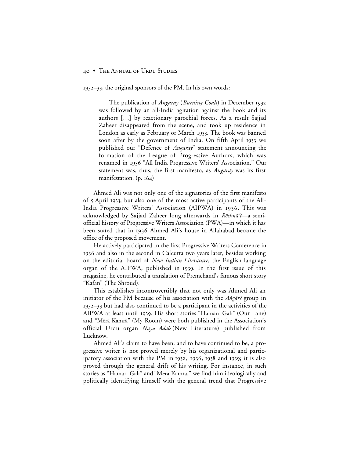## 40 • THE ANNUAL OF URDU STUDIES

 $1932-33$ , the original sponsors of the PM. In his own words:

The publication of *Angaray* (*Burning Coals*) in December was followed by an all-India agitation against the book and its authors […] by reactionary parochial forces. As a result Sajjad Zaheer disappeared from the scene, and took up residence in London as early as February or March 1933. The book was banned soon after by the government of India. On fifth April 1933 we published our "Defence of *Angaray*" statement announcing the formation of the League of Progressive Authors, which was renamed in 1936 "All India Progressive Writers' Association." Our statement was, thus, the first manifesto, as *Angaray* was its first manifestation.  $(p. 164)$ 

Ahmed Ali was not only one of the signatories of the first manifesto of 5 April 1933, but also one of the most active participants of the All-India Progressive Writers' Association (AIPWA) in 1936. This was acknowledged by Sajjad Zaheer long afterwards in Rōshnā'i—a semiofficial history of Progressive Writers Association (PWA)—in which it has been stated that in 1936 Ahmed Ali's house in Allahabad became the office of the proposed movement.

He actively participated in the first Progressive Writers Conference in 1936 and also in the second in Calcutta two years later, besides working on the editorial board of *New Indian Literature,* the English language organ of the AIPWA, published in 1939. In the first issue of this magazine, he contributed a translation of Premchand's famous short story "Kafan" (The Shroud).

This establishes incontrovertibly that not only was Ahmed Ali an initiator of the PM because of his association with the  $Ang\bar{a}r\bar{e}$  group in  $1932-33$  but had also continued to be a participant in the activities of the AIPWA at least until 1939. His short stories "Hamārī Galī" (Our Lane) and "Mērā Kamrā" (My Room) were both published in the Association's official Urdu organ Nayā Adab (New Literature) published from Lucknow.

Ahmed Ali's claim to have been, and to have continued to be, a progressive writer is not proved merely by his organizational and participatory association with the PM in 1932, 1936, 1938 and 1939; it is also proved through the general drift of his writing. For instance, in such stories as "Hamārī Galī" and "Mērā Kamrā," we find him ideologically and politically identifying himself with the general trend that Progressive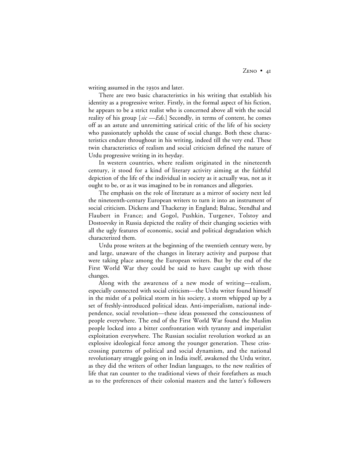writing assumed in the 1930s and later.

There are two basic characteristics in his writing that establish his identity as a progressive writer. Firstly, in the formal aspect of his fiction, he appears to be a strict realist who is concerned above all with the social reality of his group [*sic —Eds*.] Secondly, in terms of content, he comes off as an astute and unremitting satirical critic of the life of his society who passionately upholds the cause of social change. Both these characteristics endure throughout in his writing, indeed till the very end. These twin characteristics of realism and social criticism defined the nature of Urdu progressive writing in its heyday.

In western countries, where realism originated in the nineteenth century, it stood for a kind of literary activity aiming at the faithful depiction of the life of the individual in society as it actually was, not as it ought to be, or as it was imagined to be in romances and allegories.

The emphasis on the role of literature as a mirror of society next led the nineteenth-century European writers to turn it into an instrument of social criticism. Dickens and Thackeray in England; Balzac, Stendhal and Flaubert in France; and Gogol, Pushkin, Turgenev, Tolstoy and Dostoevsky in Russia depicted the reality of their changing societies with all the ugly features of economic, social and political degradation which characterized them.

Urdu prose writers at the beginning of the twentieth century were, by and large, unaware of the changes in literary activity and purpose that were taking place among the European writers. But by the end of the First World War they could be said to have caught up with those changes.

Along with the awareness of a new mode of writing—realism, especially connected with social criticism—the Urdu writer found himself in the midst of a political storm in his society, a storm whipped up by a set of freshly-introduced political ideas. Anti-imperialism, national independence, social revolution—these ideas possessed the consciousness of people everywhere. The end of the First World War found the Muslim people locked into a bitter confrontation with tyranny and imperialist exploitation everywhere. The Russian socialist revolution worked as an explosive ideological force among the younger generation. These crisscrossing patterns of political and social dynamism, and the national revolutionary struggle going on in India itself, awakened the Urdu writer, as they did the writers of other Indian languages, to the new realities of life that ran counter to the traditional views of their forefathers as much as to the preferences of their colonial masters and the latter's followers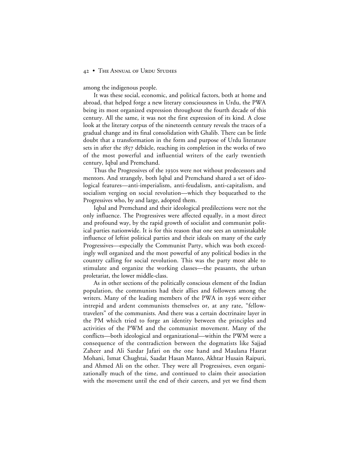## 42 • THE ANNUAL OF URDU STUDIES

among the indigenous people.

It was these social, economic, and political factors, both at home and abroad, that helped forge a new literary consciousness in Urdu, the PWA being its most organized expression throughout the fourth decade of this century. All the same, it was not the first expression of its kind. A close look at the literary corpus of the nineteenth century reveals the traces of a gradual change and its final consolidation with Ghalib. There can be little doubt that a transformation in the form and purpose of Urdu literature sets in after the 1857 débâcle, reaching its completion in the works of two of the most powerful and influential writers of the early twentieth century, Iqbal and Premchand.

Thus the Progressives of the 1930s were not without predecessors and mentors. And strangely, both Iqbal and Premchand shared a set of ideological features—anti-imperialism, anti-feudalism, anti-capitalism, and socialism verging on social revolution—which they bequeathed to the Progressives who, by and large, adopted them.

Iqbal and Premchand and their ideological predilections were not the only influence. The Progressives were affected equally, in a most direct and profound way, by the rapid growth of socialist and communist political parties nationwide. It is for this reason that one sees an unmistakable influence of leftist political parties and their ideals on many of the early Progressives—especially the Communist Party, which was both exceedingly well organized and the most powerful of any political bodies in the country calling for social revolution. This was the party most able to stimulate and organize the working classes—the peasants, the urban proletariat, the lower middle-class.

As in other sections of the politically conscious element of the Indian population, the communists had their allies and followers among the writers. Many of the leading members of the PWA in 1936 were either intrepid and ardent communists themselves or, at any rate, "fellowtravelers" of the communists. And there was a certain doctrinaire layer in the PM which tried to forge an identity between the principles and activities of the PWM and the communist movement. Many of the conflicts—both ideological and organizational—within the PWM were a consequence of the contradiction between the dogmatists like Sajjad Zaheer and Ali Sardar Jafari on the one hand and Maulana Hasrat Mohani, Ismat Chughtai, Saadat Hasan Manto, Akhtar Husain Raipuri, and Ahmed Ali on the other. They were all Progressives, even organizationally much of the time, and continued to claim their association with the movement until the end of their careers, and yet we find them